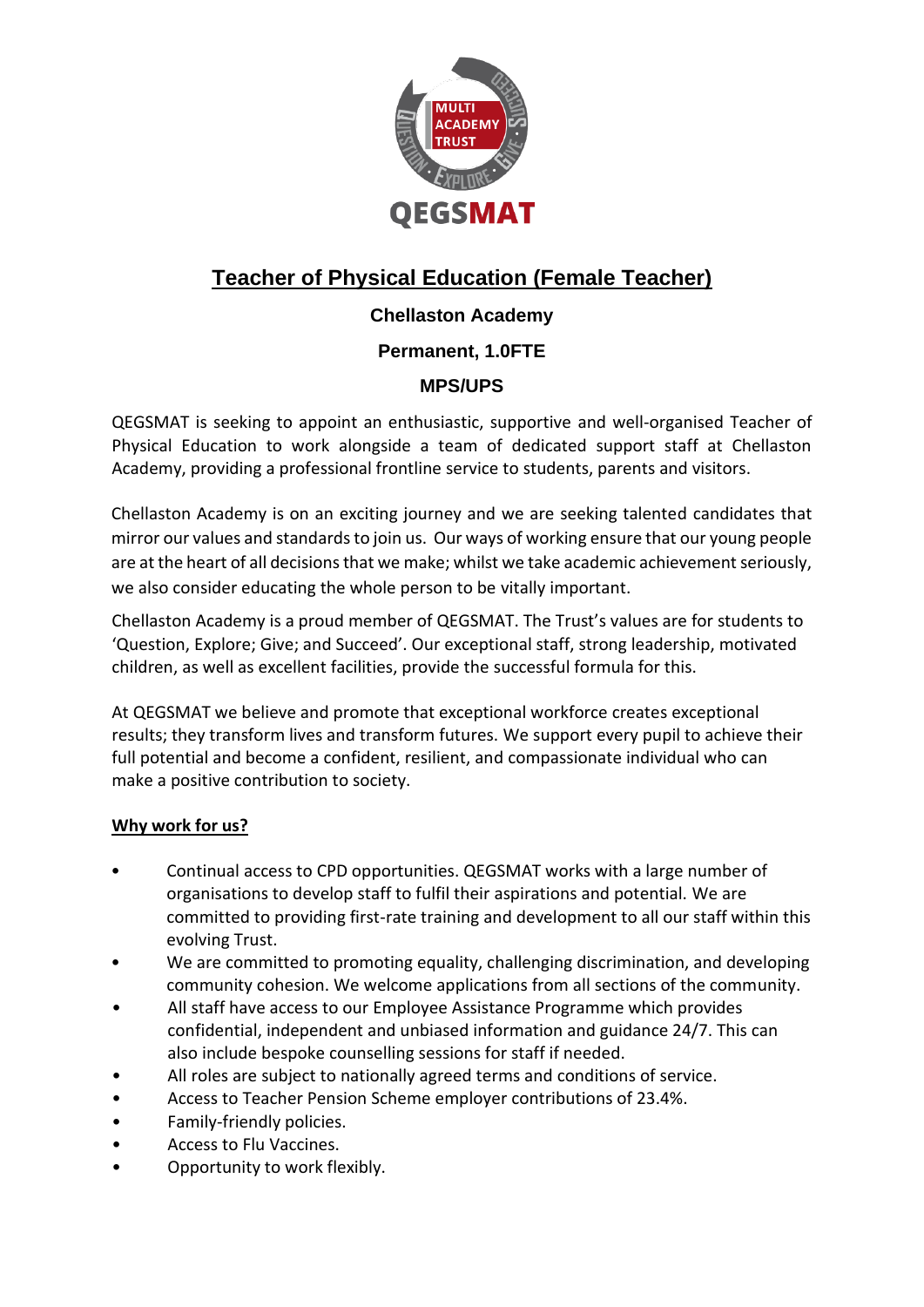

# **Teacher of Physical Education (Female Teacher)**

# **Chellaston Academy**

## **Permanent, 1.0FTE**

# **MPS/UPS**

QEGSMAT is seeking to appoint an enthusiastic, supportive and well-organised Teacher of Physical Education to work alongside a team of dedicated support staff at Chellaston Academy, providing a professional frontline service to students, parents and visitors.

Chellaston Academy is on an exciting journey and we are seeking talented candidates that mirror our values and standards to join us. Our ways of working ensure that our young people are at the heart of all decisions that we make; whilst we take academic achievement seriously, we also consider educating the whole person to be vitally important.

Chellaston Academy is a proud member of QEGSMAT. The Trust's values are for students to 'Question, Explore; Give; and Succeed'. Our exceptional staff, strong leadership, motivated children, as well as excellent facilities, provide the successful formula for this.

At QEGSMAT we believe and promote that exceptional workforce creates exceptional results; they transform lives and transform futures. We support every pupil to achieve their full potential and become a confident, resilient, and compassionate individual who can make a positive contribution to society.

## **Why work for us?**

- Continual access to CPD opportunities. QEGSMAT works with a large number of organisations to develop staff to fulfil their aspirations and potential. We are committed to providing first-rate training and development to all our staff within this evolving Trust.
- We are committed to promoting equality, challenging discrimination, and developing community cohesion. We welcome applications from all sections of the community.
- All staff have access to our Employee Assistance Programme which provides confidential, independent and unbiased information and guidance 24/7. This can also include bespoke counselling sessions for staff if needed.
- All roles are subject to nationally agreed terms and conditions of service.
- Access to Teacher Pension Scheme employer contributions of 23.4%.
- Family-friendly policies.
- Access to Flu Vaccines.
- Opportunity to work flexibly.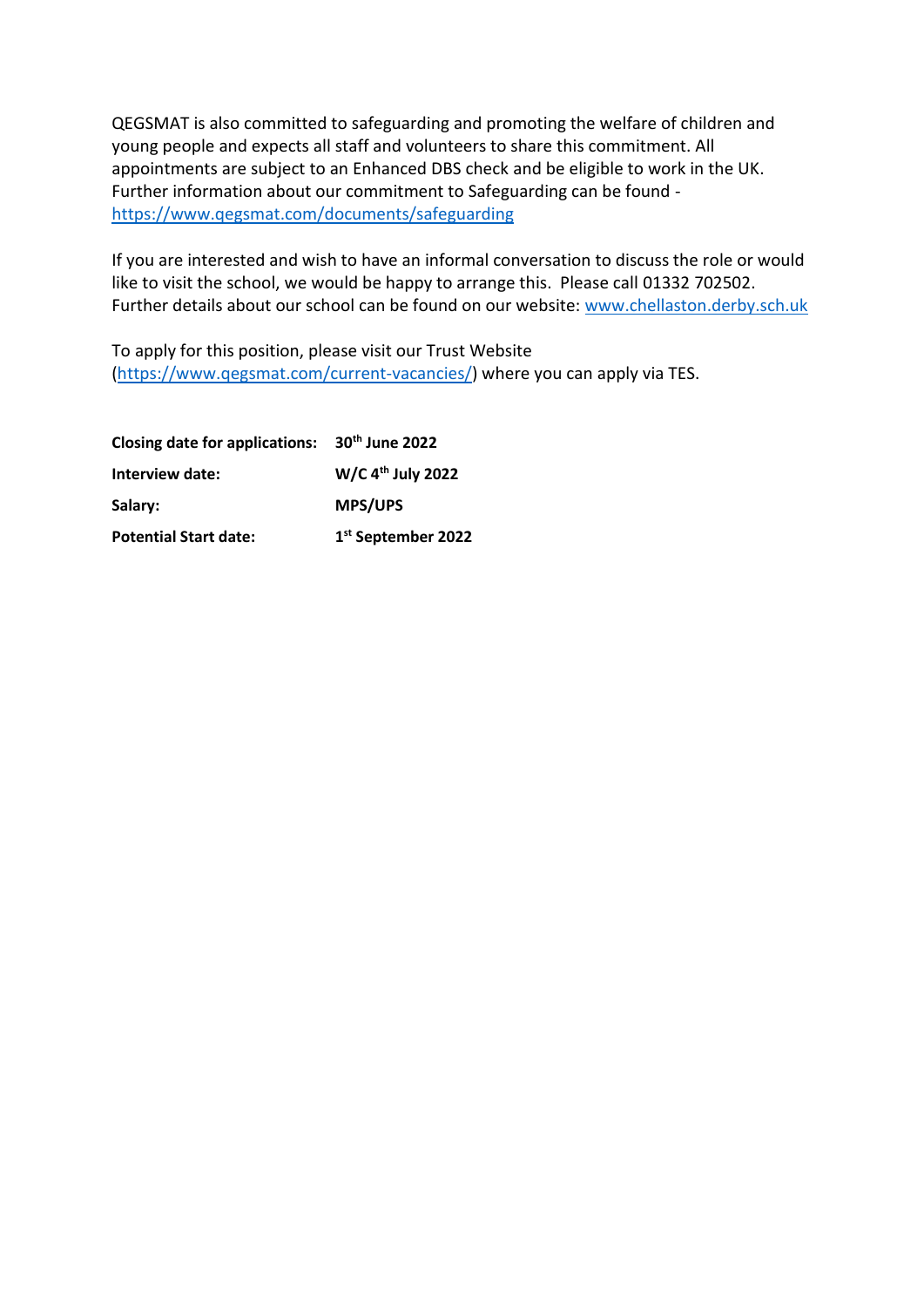QEGSMAT is also committed to safeguarding and promoting the welfare of children and young people and expects all staff and volunteers to share this commitment. All appointments are subject to an Enhanced DBS check and be eligible to work in the UK. Further information about our commitment to Safeguarding can be found <https://www.qegsmat.com/documents/safeguarding>

If you are interested and wish to have an informal conversation to discuss the role or would like to visit the school, we would be happy to arrange this. Please call 01332 702502. Further details about our school can be found on our website: www.chellaston.derby.sch.uk

To apply for this position, please visit our Trust Website [\(https://www.qegsmat.com/current-vacancies/\)](https://www.qegsmat.com/current-vacancies/) where you can apply via TES.

| Closing date for applications: 30th June 2022 |                                |
|-----------------------------------------------|--------------------------------|
| Interview date:                               | W/C 4 <sup>th</sup> July 2022  |
| Salary:                                       | <b>MPS/UPS</b>                 |
| <b>Potential Start date:</b>                  | 1 <sup>st</sup> September 2022 |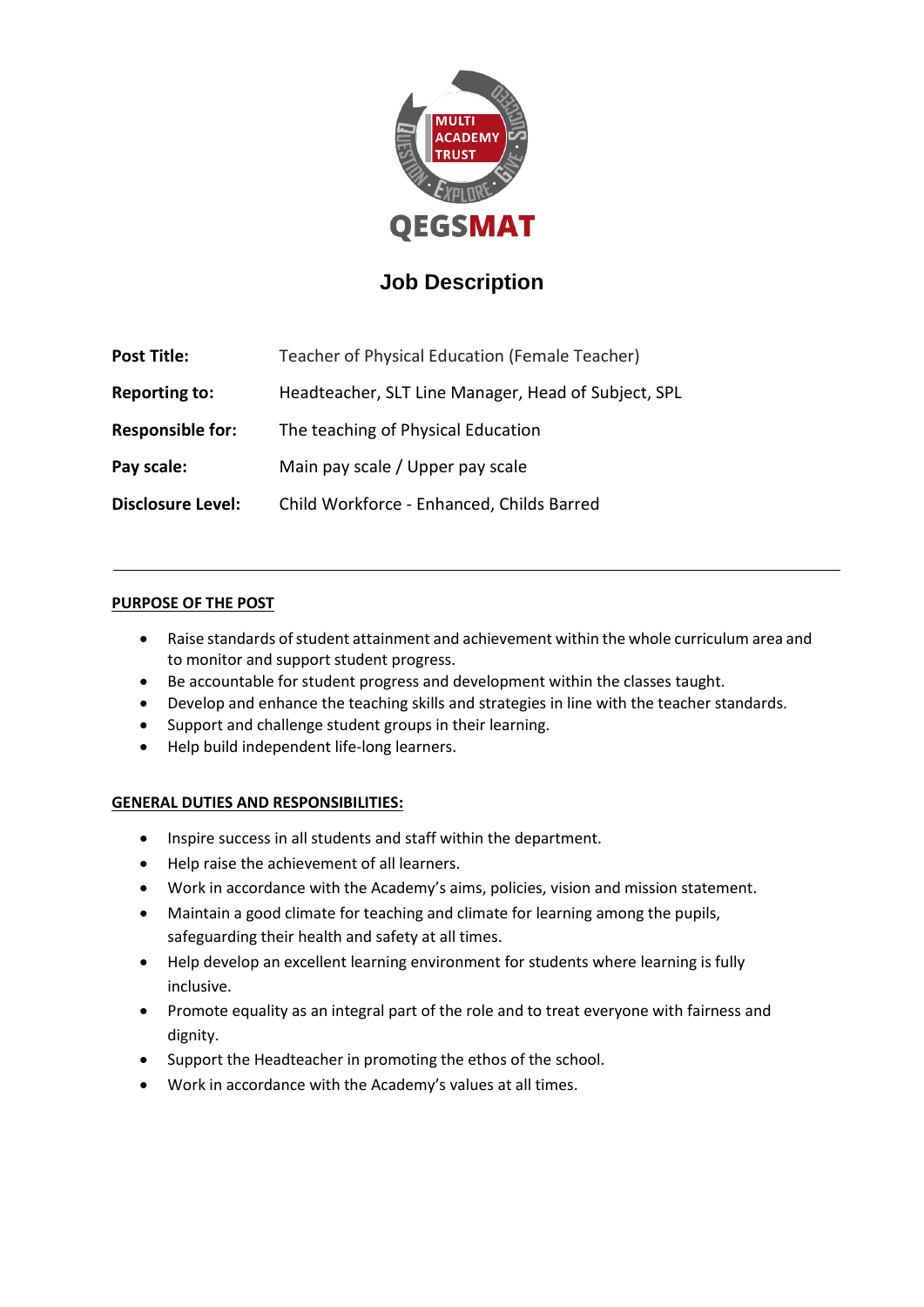

# **Job Description**

| <b>Post Title:</b>       | Teacher of Physical Education (Female Teacher)      |  |
|--------------------------|-----------------------------------------------------|--|
| <b>Reporting to:</b>     | Headteacher, SLT Line Manager, Head of Subject, SPL |  |
| <b>Responsible for:</b>  | The teaching of Physical Education                  |  |
| Pay scale:               | Main pay scale / Upper pay scale                    |  |
| <b>Disclosure Level:</b> | Child Workforce - Enhanced, Childs Barred           |  |

### **PURPOSE OF THE POST**

- Raise standards of student attainment and achievement within the whole curriculum area and to monitor and support student progress.
- Be accountable for student progress and development within the classes taught.
- Develop and enhance the teaching skills and strategies in line with the teacher standards.
- Support and challenge student groups in their learning.
- Help build independent life-long learners.

### **GENERAL DUTIES AND RESPONSIBILITIES:**

- Inspire success in all students and staff within the department.
- Help raise the achievement of all learners.
- Work in accordance with the Academy's aims, policies, vision and mission statement.
- Maintain a good climate for teaching and climate for learning among the pupils, safeguarding their health and safety at all times.
- Help develop an excellent learning environment for students where learning is fully inclusive.
- Promote equality as an integral part of the role and to treat everyone with fairness and dignity.
- Support the Headteacher in promoting the ethos of the school.
- Work in accordance with the Academy's values at all times.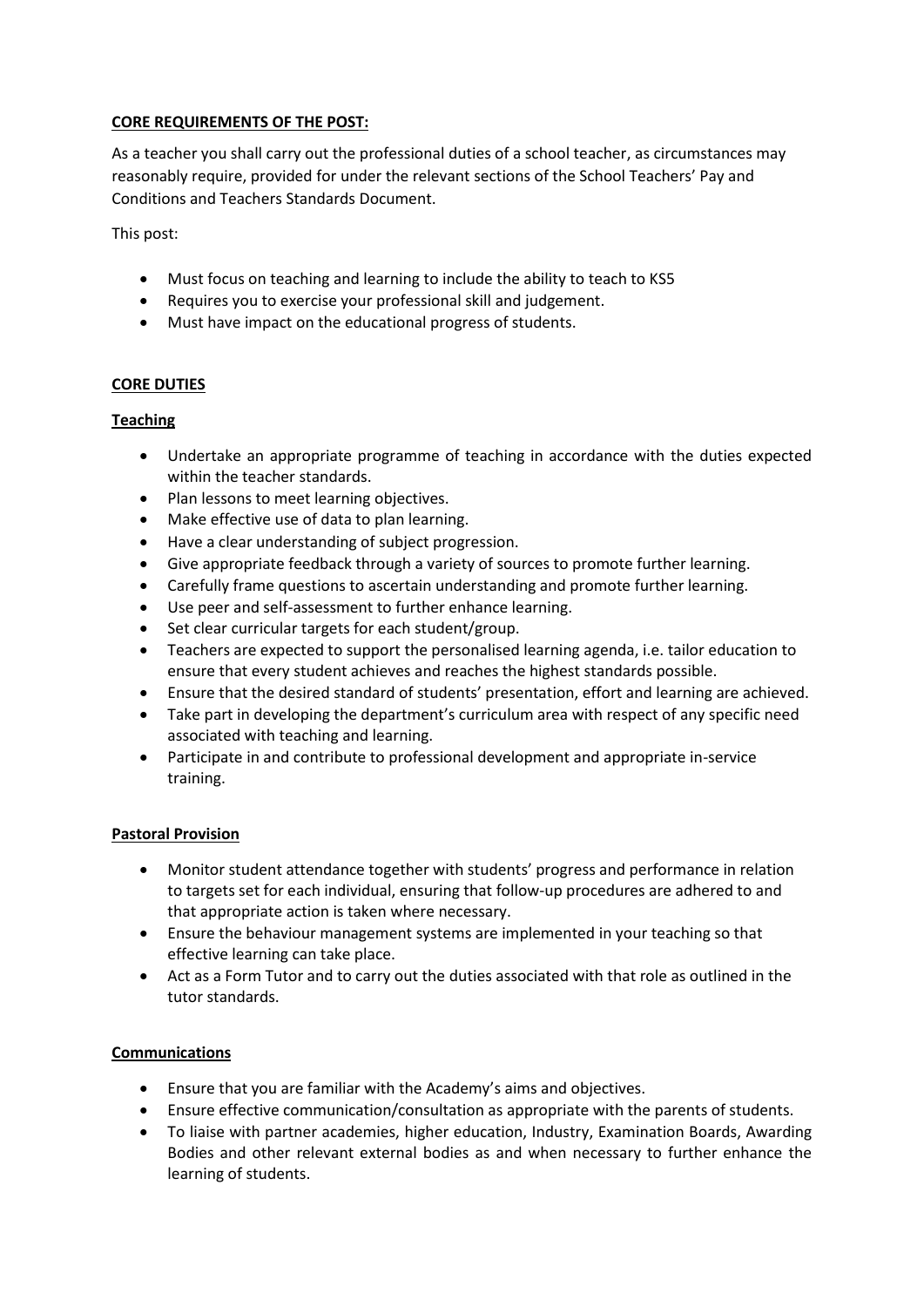#### **CORE REQUIREMENTS OF THE POST:**

As a teacher you shall carry out the professional duties of a school teacher, as circumstances may reasonably require, provided for under the relevant sections of the School Teachers' Pay and Conditions and Teachers Standards Document.

This post:

- Must focus on teaching and learning to include the ability to teach to KS5
- Requires you to exercise your professional skill and judgement.
- Must have impact on the educational progress of students.

### **CORE DUTIES**

#### **Teaching**

- Undertake an appropriate programme of teaching in accordance with the duties expected within the teacher standards.
- Plan lessons to meet learning objectives.
- Make effective use of data to plan learning.
- Have a clear understanding of subject progression.
- Give appropriate feedback through a variety of sources to promote further learning.
- Carefully frame questions to ascertain understanding and promote further learning.
- Use peer and self-assessment to further enhance learning.
- Set clear curricular targets for each student/group.
- Teachers are expected to support the personalised learning agenda, i.e. tailor education to ensure that every student achieves and reaches the highest standards possible.
- Ensure that the desired standard of students' presentation, effort and learning are achieved.
- Take part in developing the department's curriculum area with respect of any specific need associated with teaching and learning.
- Participate in and contribute to professional development and appropriate in-service training.

#### **Pastoral Provision**

- Monitor student attendance together with students' progress and performance in relation to targets set for each individual, ensuring that follow-up procedures are adhered to and that appropriate action is taken where necessary.
- Ensure the behaviour management systems are implemented in your teaching so that effective learning can take place.
- Act as a Form Tutor and to carry out the duties associated with that role as outlined in the tutor standards.

### **Communications**

- Ensure that you are familiar with the Academy's aims and objectives.
- Ensure effective communication/consultation as appropriate with the parents of students.
- To liaise with partner academies, higher education, Industry, Examination Boards, Awarding Bodies and other relevant external bodies as and when necessary to further enhance the learning of students.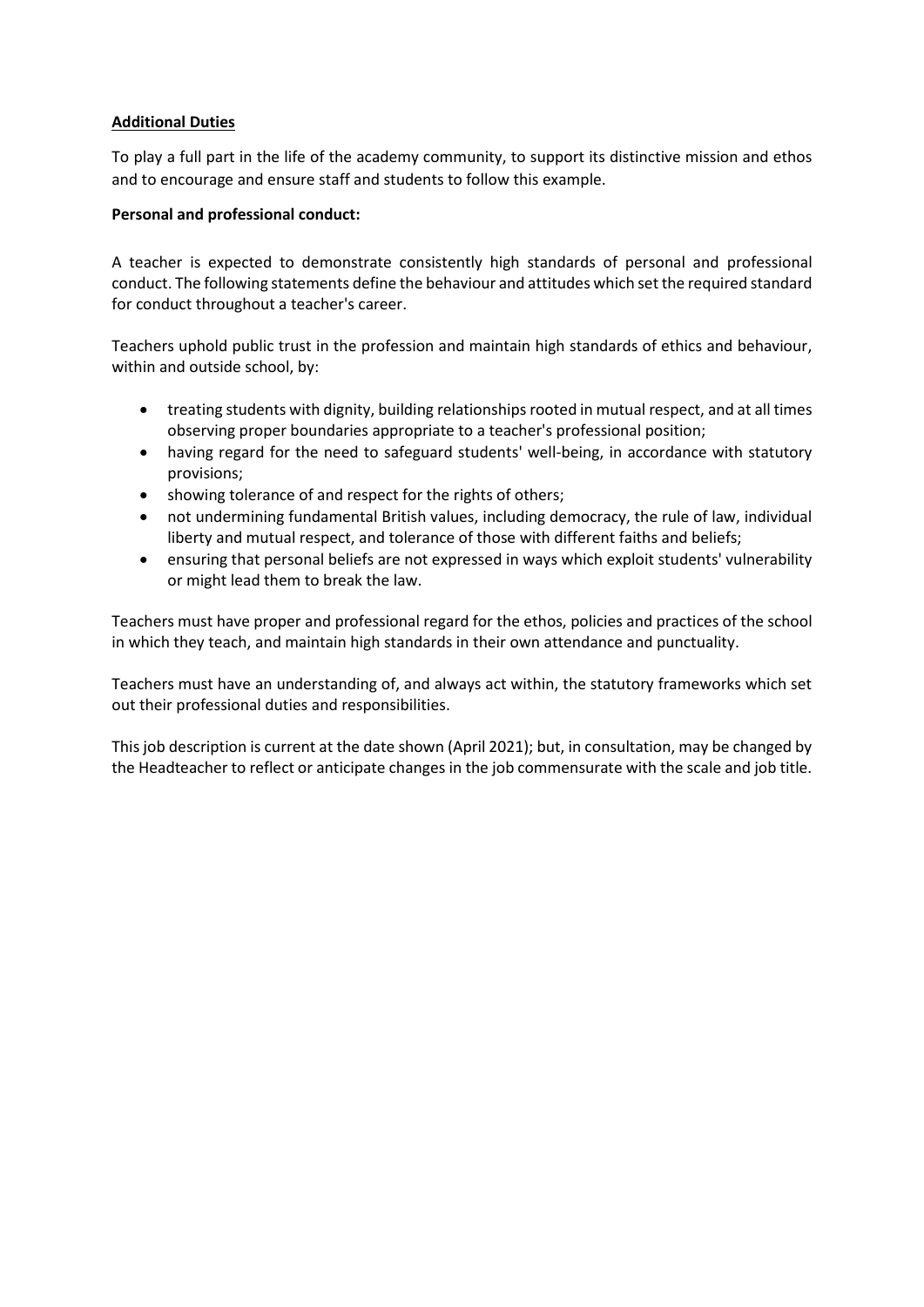#### **Additional Duties**

To play a full part in the life of the academy community, to support its distinctive mission and ethos and to encourage and ensure staff and students to follow this example.

#### **Personal and professional conduct:**

A teacher is expected to demonstrate consistently high standards of personal and professional conduct. The following statements define the behaviour and attitudes which set the required standard for conduct throughout a teacher's career.

Teachers uphold public trust in the profession and maintain high standards of ethics and behaviour, within and outside school, by:

- treating students with dignity, building relationships rooted in mutual respect, and at all times observing proper boundaries appropriate to a teacher's professional position;
- having regard for the need to safeguard students' well-being, in accordance with statutory provisions;
- showing tolerance of and respect for the rights of others;
- not undermining fundamental British values, including democracy, the rule of law, individual liberty and mutual respect, and tolerance of those with different faiths and beliefs;
- ensuring that personal beliefs are not expressed in ways which exploit students' vulnerability or might lead them to break the law.

Teachers must have proper and professional regard for the ethos, policies and practices of the school in which they teach, and maintain high standards in their own attendance and punctuality.

Teachers must have an understanding of, and always act within, the statutory frameworks which set out their professional duties and responsibilities.

This job description is current at the date shown (April 2021); but, in consultation, may be changed by the Headteacher to reflect or anticipate changes in the job commensurate with the scale and job title.